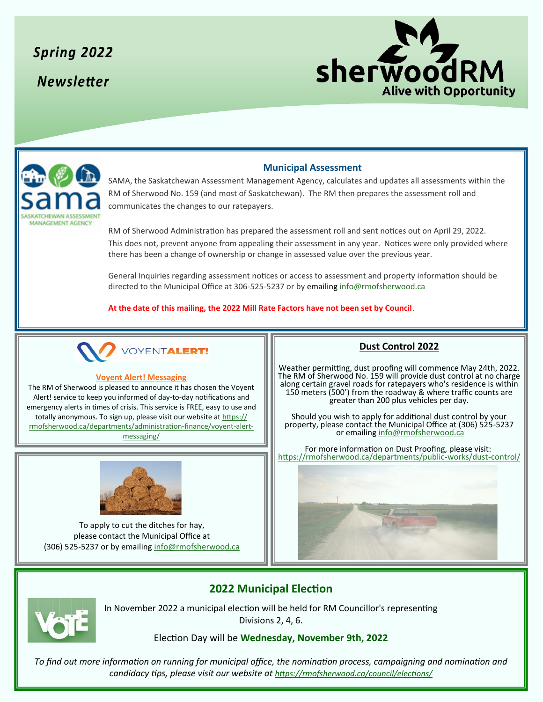**Spring 2022 Newsletter** 





### **Municipal Assessment**

SAMA, the Saskatchewan Assessment Management Agency, calculates and updates all assessments within the RM of Sherwood No. 159 (and most of Saskatchewan). The RM then prepares the assessment roll and communicates the changes to our ratepayers.

RM of Sherwood Administration has prepared the assessment roll and sent notices out on April 29, 2022. This does not, prevent anyone from appealing their assessment in any year. Notices were only provided where there has been a change of ownership or change in assessed value over the previous year.

General Inquiries regarding assessment notices or access to assessment and property information should be directed to the Municipal Office at 306-525-5237 or by emailing info@rmofsherwood.ca

**At the date of this mailing, the 2022 Mill Rate Factors have not been set by Council**.



#### **Voyent Alert! Messaging**

The RM of Sherwood is pleased to announce it has chosen the Voyent Alert! service to keep you informed of day-to-day notifications and emergency alerts in times of crisis. This service is FREE, easy to use and totally anonymous. To sign up, please visit our website at [https://](https://rmofsherwood.ca/departments/administration-finance/voyent-alert-messaging/) [rmofsherwood.ca/departments/administration](https://rmofsherwood.ca/departments/administration-finance/voyent-alert-messaging/)-finance/voyent-alert[messaging/](https://rmofsherwood.ca/departments/administration-finance/voyent-alert-messaging/)



To apply to cut the ditches for hay, please contact the Municipal Office at (306) 525-5237 or by emailing [info@rmofsherwood.ca](mailto:info@rmofsherwood.ca)

#### **Dust Control 2022**

Weather permitting, dust proofing will commence May 24th, 2022. The RM of Sherwood No. 159 will provide dust control at no charge along certain gravel roads for ratepayers who's residence is within 150 meters (500') from the roadway & where traffic counts are greater than 200 plus vehicles per day.

Should you wish to apply for additional dust control by your property, please contact the Municipal Office at (306) 525-5237 or emailing [info@rmofsherwood.ca](mailto:info@rmofsherwood.ca)

For more information on Dust Proofing, please visit: [https://rmofsherwood.ca/departments/public](https://rmofsherwood.ca/departments/public-works/dust-control/)-works/dust-control/



# **2022 Municipal Election**



In November 2022 a municipal election will be held for RM Councillor's representing Divisions 2, 4, 6.

#### Election Day will be **Wednesday, November 9th, 2022**

*To find out more information on running for municipal office, the nomination process, campaigning and nomination and candidacy tips, please visit our website at <https://rmofsherwood.ca/council/elections/>*